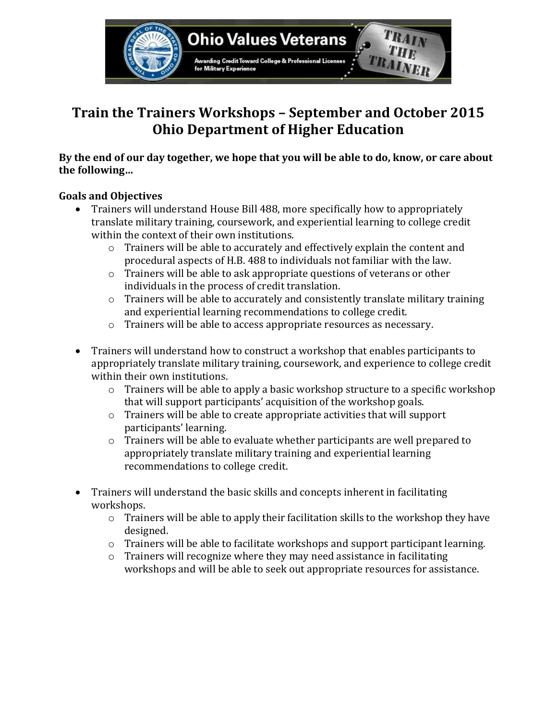

# **Train the Trainers Workshops – September and October 2015 Ohio Department of Higher Education**

**By the end of our day together, we hope that you will be able to do, know, or care about the following…**

# **Goals and Objectives**

- Trainers will understand House Bill 488, more specifically how to appropriately translate military training, coursework, and experiential learning to college credit within the context of their own institutions.
	- o Trainers will be able to accurately and effectively explain the content and procedural aspects of H.B. 488 to individuals not familiar with the law.
	- o Trainers will be able to ask appropriate questions of veterans or other individuals in the process of credit translation.
	- $\circ$  Trainers will be able to accurately and consistently translate military training and experiential learning recommendations to college credit.
	- o Trainers will be able to access appropriate resources as necessary.
- Trainers will understand how to construct a workshop that enables participants to appropriately translate military training, coursework, and experience to college credit within their own institutions.
	- $\circ$  Trainers will be able to apply a basic workshop structure to a specific workshop that will support participants' acquisition of the workshop goals.
	- o Trainers will be able to create appropriate activities that will support participants' learning.
	- o Trainers will be able to evaluate whether participants are well prepared to appropriately translate military training and experiential learning recommendations to college credit.
- Trainers will understand the basic skills and concepts inherent in facilitating workshops.
	- o Trainers will be able to apply their facilitation skills to the workshop they have designed.
	- $\circ$  Trainers will be able to facilitate workshops and support participant learning.
	- o Trainers will recognize where they may need assistance in facilitating workshops and will be able to seek out appropriate resources for assistance.